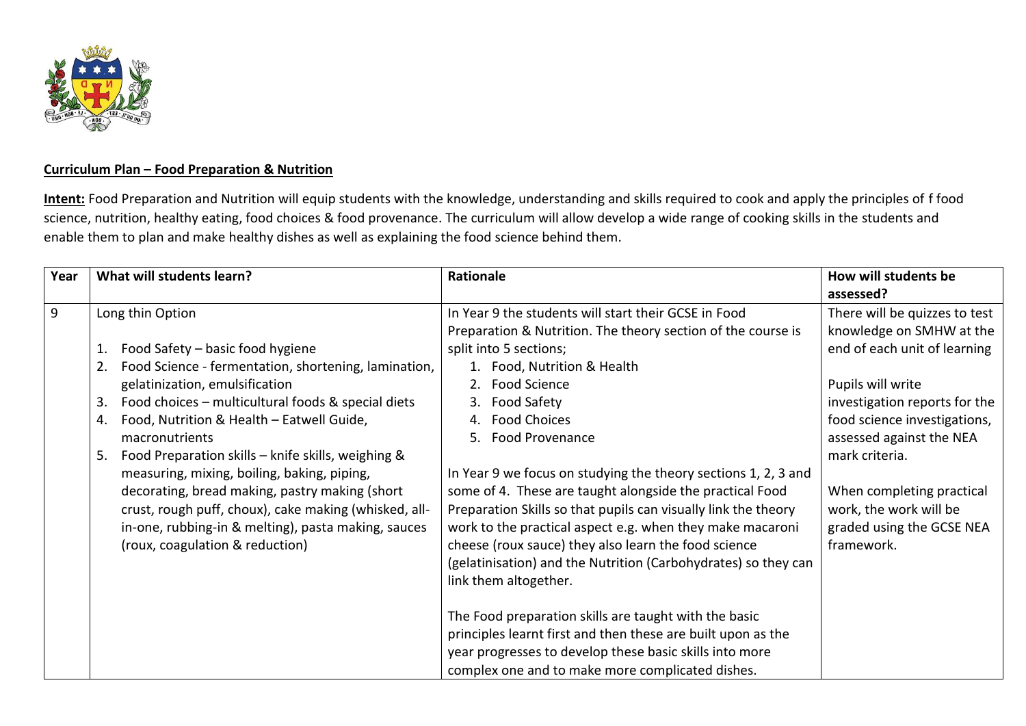

## **Curriculum Plan – Food Preparation & Nutrition**

**Intent:** Food Preparation and Nutrition will equip students with the knowledge, understanding and skills required to cook and apply the principles of f food science, nutrition, healthy eating, food choices & food provenance. The curriculum will allow develop a wide range of cooking skills in the students and enable them to plan and make healthy dishes as well as explaining the food science behind them.

| Year | What will students learn?                                                                                                                                                                                                                                                                                                                                                                                                                                                                                                                                                                                   | Rationale                                                                                                                                                                                                                                                                                                                                                                                                                                                                                                                                                                                                                                                                                                                                                                                                                                                                                                                                | How will students be<br>assessed?                                                                                                                                                                                                                                                                                               |
|------|-------------------------------------------------------------------------------------------------------------------------------------------------------------------------------------------------------------------------------------------------------------------------------------------------------------------------------------------------------------------------------------------------------------------------------------------------------------------------------------------------------------------------------------------------------------------------------------------------------------|------------------------------------------------------------------------------------------------------------------------------------------------------------------------------------------------------------------------------------------------------------------------------------------------------------------------------------------------------------------------------------------------------------------------------------------------------------------------------------------------------------------------------------------------------------------------------------------------------------------------------------------------------------------------------------------------------------------------------------------------------------------------------------------------------------------------------------------------------------------------------------------------------------------------------------------|---------------------------------------------------------------------------------------------------------------------------------------------------------------------------------------------------------------------------------------------------------------------------------------------------------------------------------|
| 9    | Long thin Option<br>Food Safety - basic food hygiene<br>1.<br>Food Science - fermentation, shortening, lamination,<br>2.<br>gelatinization, emulsification<br>Food choices - multicultural foods & special diets<br>3.<br>Food, Nutrition & Health - Eatwell Guide,<br>4.<br>macronutrients<br>Food Preparation skills - knife skills, weighing &<br>5.<br>measuring, mixing, boiling, baking, piping,<br>decorating, bread making, pastry making (short<br>crust, rough puff, choux), cake making (whisked, all-<br>in-one, rubbing-in & melting), pasta making, sauces<br>(roux, coagulation & reduction) | In Year 9 the students will start their GCSE in Food<br>Preparation & Nutrition. The theory section of the course is<br>split into 5 sections;<br>1. Food, Nutrition & Health<br>Food Science<br><b>Food Safety</b><br><b>Food Choices</b><br>4.<br><b>Food Provenance</b><br>5.<br>In Year 9 we focus on studying the theory sections 1, 2, 3 and<br>some of 4. These are taught alongside the practical Food<br>Preparation Skills so that pupils can visually link the theory<br>work to the practical aspect e.g. when they make macaroni<br>cheese (roux sauce) they also learn the food science<br>(gelatinisation) and the Nutrition (Carbohydrates) so they can<br>link them altogether.<br>The Food preparation skills are taught with the basic<br>principles learnt first and then these are built upon as the<br>year progresses to develop these basic skills into more<br>complex one and to make more complicated dishes. | There will be quizzes to test<br>knowledge on SMHW at the<br>end of each unit of learning<br>Pupils will write<br>investigation reports for the<br>food science investigations,<br>assessed against the NEA<br>mark criteria.<br>When completing practical<br>work, the work will be<br>graded using the GCSE NEA<br>framework. |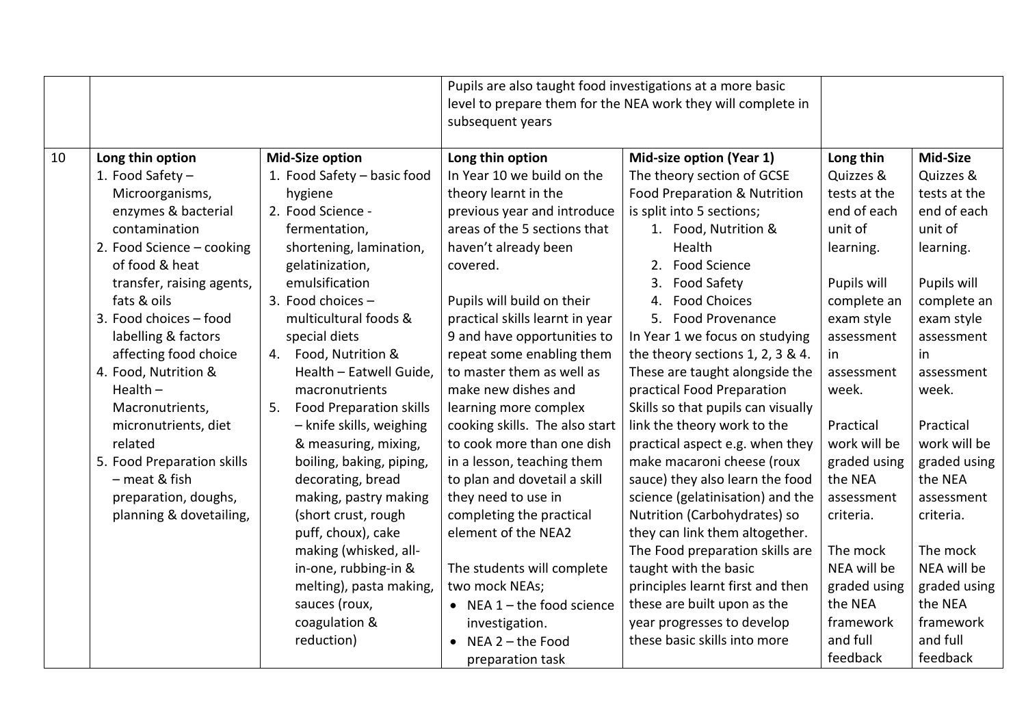|    |                            |                                      | Pupils are also taught food investigations at a more basic<br>level to prepare them for the NEA work they will complete in<br>subsequent years |                                    |              |              |
|----|----------------------------|--------------------------------------|------------------------------------------------------------------------------------------------------------------------------------------------|------------------------------------|--------------|--------------|
| 10 | Long thin option           | <b>Mid-Size option</b>               | Long thin option                                                                                                                               | Mid-size option (Year 1)           | Long thin    | Mid-Size     |
|    | 1. Food Safety -           | 1. Food Safety - basic food          | In Year 10 we build on the                                                                                                                     | The theory section of GCSE         | Quizzes &    | Quizzes &    |
|    | Microorganisms,            | hygiene                              | theory learnt in the                                                                                                                           | Food Preparation & Nutrition       | tests at the | tests at the |
|    | enzymes & bacterial        | 2. Food Science -                    | previous year and introduce                                                                                                                    | is split into 5 sections;          | end of each  | end of each  |
|    | contamination              | fermentation,                        | areas of the 5 sections that                                                                                                                   | 1. Food, Nutrition &               | unit of      | unit of      |
|    | 2. Food Science - cooking  | shortening, lamination,              | haven't already been                                                                                                                           | Health                             | learning.    | learning.    |
|    | of food & heat             | gelatinization,                      | covered.                                                                                                                                       | 2. Food Science                    |              |              |
|    | transfer, raising agents,  | emulsification                       |                                                                                                                                                | 3. Food Safety                     | Pupils will  | Pupils will  |
|    | fats & oils                | 3. Food choices -                    | Pupils will build on their                                                                                                                     | <b>Food Choices</b><br>4.          | complete an  | complete an  |
|    | 3. Food choices - food     | multicultural foods &                | practical skills learnt in year                                                                                                                | 5. Food Provenance                 | exam style   | exam style   |
|    | labelling & factors        | special diets                        | 9 and have opportunities to                                                                                                                    | In Year 1 we focus on studying     | assessment   | assessment   |
|    | affecting food choice      | Food, Nutrition &<br>4.              | repeat some enabling them                                                                                                                      | the theory sections 1, 2, 3 & 4.   | in.          | in           |
|    | 4. Food, Nutrition &       | Health - Eatwell Guide,              | to master them as well as                                                                                                                      | These are taught alongside the     | assessment   | assessment   |
|    | Health $-$                 | macronutrients                       | make new dishes and                                                                                                                            | practical Food Preparation         | week.        | week.        |
|    | Macronutrients,            | <b>Food Preparation skills</b><br>5. | learning more complex                                                                                                                          | Skills so that pupils can visually |              |              |
|    | micronutrients, diet       | - knife skills, weighing             | cooking skills. The also start                                                                                                                 | link the theory work to the        | Practical    | Practical    |
|    | related                    | & measuring, mixing,                 | to cook more than one dish                                                                                                                     | practical aspect e.g. when they    | work will be | work will be |
|    | 5. Food Preparation skills | boiling, baking, piping,             | in a lesson, teaching them                                                                                                                     | make macaroni cheese (roux         | graded using | graded using |
|    | - meat & fish              | decorating, bread                    | to plan and dovetail a skill                                                                                                                   | sauce) they also learn the food    | the NEA      | the NEA      |
|    | preparation, doughs,       | making, pastry making                | they need to use in                                                                                                                            | science (gelatinisation) and the   | assessment   | assessment   |
|    | planning & dovetailing,    | (short crust, rough                  | completing the practical                                                                                                                       | Nutrition (Carbohydrates) so       | criteria.    | criteria.    |
|    |                            | puff, choux), cake                   | element of the NEA2                                                                                                                            | they can link them altogether.     |              |              |
|    |                            | making (whisked, all-                |                                                                                                                                                | The Food preparation skills are    | The mock     | The mock     |
|    |                            | in-one, rubbing-in &                 | The students will complete                                                                                                                     | taught with the basic              | NEA will be  | NEA will be  |
|    |                            | melting), pasta making,              | two mock NEAs;                                                                                                                                 | principles learnt first and then   | graded using | graded using |
|    |                            | sauces (roux,                        | • NEA $1$ – the food science                                                                                                                   | these are built upon as the        | the NEA      | the NEA      |
|    |                            | coagulation &                        | investigation.                                                                                                                                 | year progresses to develop         | framework    | framework    |
|    |                            | reduction)                           | $\bullet$ NEA 2 - the Food                                                                                                                     | these basic skills into more       | and full     | and full     |
|    |                            |                                      | preparation task                                                                                                                               |                                    | feedback     | feedback     |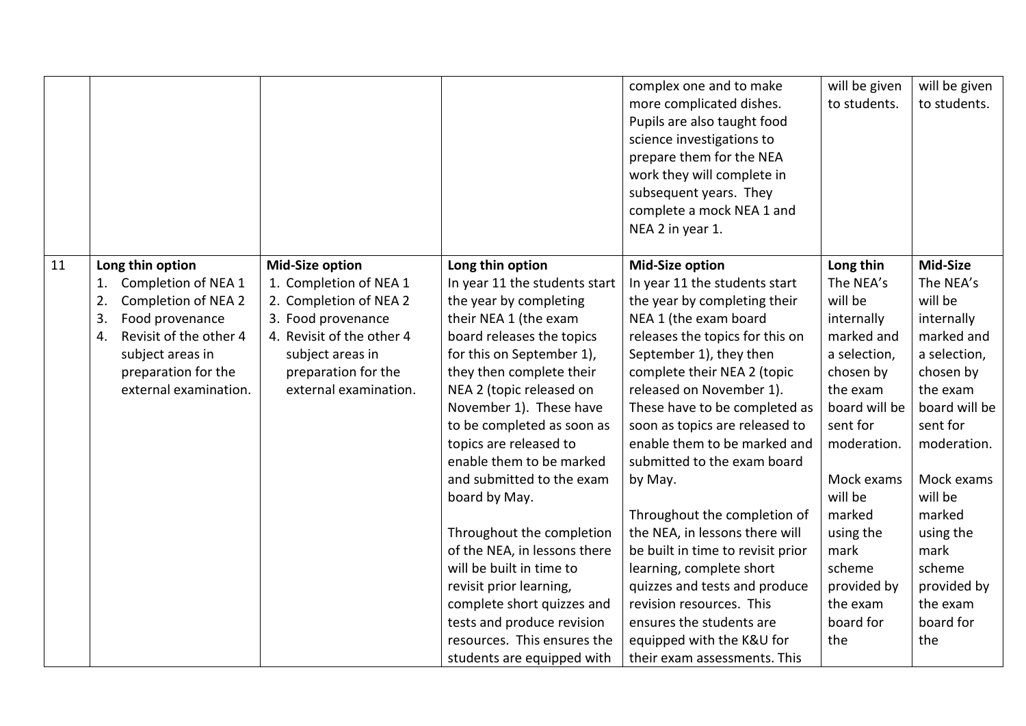|    |                                  |                           |                               | complex one and to make           | will be given | will be given |
|----|----------------------------------|---------------------------|-------------------------------|-----------------------------------|---------------|---------------|
|    |                                  |                           |                               | more complicated dishes.          | to students.  | to students.  |
|    |                                  |                           |                               | Pupils are also taught food       |               |               |
|    |                                  |                           |                               | science investigations to         |               |               |
|    |                                  |                           |                               | prepare them for the NEA          |               |               |
|    |                                  |                           |                               | work they will complete in        |               |               |
|    |                                  |                           |                               | subsequent years. They            |               |               |
|    |                                  |                           |                               | complete a mock NEA 1 and         |               |               |
|    |                                  |                           |                               | NEA 2 in year 1.                  |               |               |
|    |                                  |                           |                               |                                   |               |               |
| 11 | Long thin option                 | <b>Mid-Size option</b>    | Long thin option              | <b>Mid-Size option</b>            | Long thin     | Mid-Size      |
|    | Completion of NEA 1<br>1.        | 1. Completion of NEA 1    | In year 11 the students start | In year 11 the students start     | The NEA's     | The NEA's     |
|    | 2.<br><b>Completion of NEA 2</b> | 2. Completion of NEA 2    | the year by completing        | the year by completing their      | will be       | will be       |
|    | 3.<br>Food provenance            | 3. Food provenance        | their NEA 1 (the exam         | NEA 1 (the exam board             | internally    | internally    |
|    | Revisit of the other 4<br>4.     | 4. Revisit of the other 4 | board releases the topics     | releases the topics for this on   | marked and    | marked and    |
|    | subject areas in                 | subject areas in          | for this on September 1),     | September 1), they then           | a selection,  | a selection,  |
|    | preparation for the              | preparation for the       | they then complete their      | complete their NEA 2 (topic       | chosen by     | chosen by     |
|    | external examination.            | external examination.     | NEA 2 (topic released on      | released on November 1).          | the exam      | the exam      |
|    |                                  |                           | November 1). These have       | These have to be completed as     | board will be | board will be |
|    |                                  |                           | to be completed as soon as    | soon as topics are released to    | sent for      | sent for      |
|    |                                  |                           | topics are released to        | enable them to be marked and      | moderation.   | moderation.   |
|    |                                  |                           | enable them to be marked      | submitted to the exam board       |               |               |
|    |                                  |                           | and submitted to the exam     | by May.                           | Mock exams    | Mock exams    |
|    |                                  |                           | board by May.                 |                                   | will be       | will be       |
|    |                                  |                           |                               | Throughout the completion of      | marked        | marked        |
|    |                                  |                           | Throughout the completion     | the NEA, in lessons there will    | using the     | using the     |
|    |                                  |                           | of the NEA, in lessons there  | be built in time to revisit prior | mark          | mark          |
|    |                                  |                           | will be built in time to      | learning, complete short          | scheme        | scheme        |
|    |                                  |                           | revisit prior learning,       | quizzes and tests and produce     | provided by   | provided by   |
|    |                                  |                           | complete short quizzes and    | revision resources. This          | the exam      | the exam      |
|    |                                  |                           | tests and produce revision    | ensures the students are          | board for     | board for     |
|    |                                  |                           | resources. This ensures the   | equipped with the K&U for         | the           | the           |
|    |                                  |                           | students are equipped with    | their exam assessments. This      |               |               |